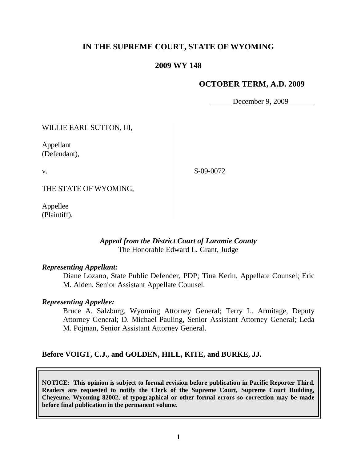# **IN THE SUPREME COURT, STATE OF WYOMING**

# **2009 WY 148**

## **OCTOBER TERM, A.D. 2009**

December 9, 2009

WILLIE EARL SUTTON, III,

Appellant (Defendant),

v.

S-09-0072

THE STATE OF WYOMING,

Appellee (Plaintiff).

# *Appeal from the District Court of Laramie County* The Honorable Edward L. Grant, Judge

#### *Representing Appellant:*

Diane Lozano, State Public Defender, PDP; Tina Kerin, Appellate Counsel; Eric M. Alden, Senior Assistant Appellate Counsel.

#### *Representing Appellee:*

Bruce A. Salzburg, Wyoming Attorney General; Terry L. Armitage, Deputy Attorney General; D. Michael Pauling, Senior Assistant Attorney General; Leda M. Pojman, Senior Assistant Attorney General.

#### **Before VOIGT, C.J., and GOLDEN, HILL, KITE, and BURKE, JJ.**

**NOTICE: This opinion is subject to formal revision before publication in Pacific Reporter Third. Readers are requested to notify the Clerk of the Supreme Court, Supreme Court Building, Cheyenne, Wyoming 82002, of typographical or other formal errors so correction may be made before final publication in the permanent volume.**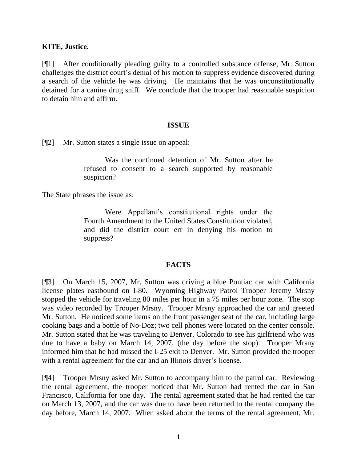## **KITE, Justice.**

[¶1] After conditionally pleading guilty to a controlled substance offense, Mr. Sutton challenges the district court's denial of his motion to suppress evidence discovered during a search of the vehicle he was driving. He maintains that he was unconstitutionally detained for a canine drug sniff. We conclude that the trooper had reasonable suspicion to detain him and affirm.

#### **ISSUE**

[¶2] Mr. Sutton states a single issue on appeal:

Was the continued detention of Mr. Sutton after he refused to consent to a search supported by reasonable suspicion?

The State phrases the issue as:

Were Appellant's constitutional rights under the Fourth Amendment to the United States Constitution violated, and did the district court err in denying his motion to suppress?

# **FACTS**

[¶3] On March 15, 2007, Mr. Sutton was driving a blue Pontiac car with California license plates eastbound on I-80. Wyoming Highway Patrol Trooper Jeremy Mrsny stopped the vehicle for traveling 80 miles per hour in a 75 miles per hour zone. The stop was video recorded by Trooper Mrsny. Trooper Mrsny approached the car and greeted Mr. Sutton. He noticed some items on the front passenger seat of the car, including large cooking bags and a bottle of No-Doz; two cell phones were located on the center console. Mr. Sutton stated that he was traveling to Denver, Colorado to see his girlfriend who was due to have a baby on March 14, 2007, (the day before the stop). Trooper Mrsny informed him that he had missed the I-25 exit to Denver. Mr. Sutton provided the trooper with a rental agreement for the car and an Illinois driver's license.

[¶4] Trooper Mrsny asked Mr. Sutton to accompany him to the patrol car. Reviewing the rental agreement, the trooper noticed that Mr. Sutton had rented the car in San Francisco, California for one day. The rental agreement stated that he had rented the car on March 13, 2007, and the car was due to have been returned to the rental company the day before, March 14, 2007. When asked about the terms of the rental agreement, Mr.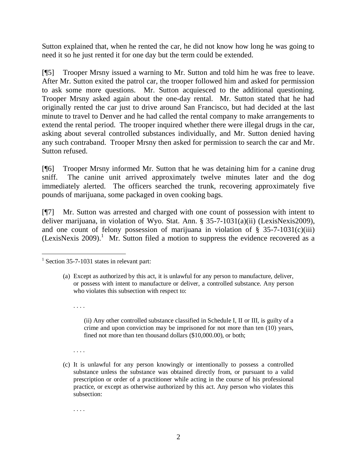Sutton explained that, when he rented the car, he did not know how long he was going to need it so he just rented it for one day but the term could be extended.

[¶5] Trooper Mrsny issued a warning to Mr. Sutton and told him he was free to leave. After Mr. Sutton exited the patrol car, the trooper followed him and asked for permission to ask some more questions. Mr. Sutton acquiesced to the additional questioning. Trooper Mrsny asked again about the one-day rental. Mr. Sutton stated that he had originally rented the car just to drive around San Francisco, but had decided at the last minute to travel to Denver and he had called the rental company to make arrangements to extend the rental period. The trooper inquired whether there were illegal drugs in the car, asking about several controlled substances individually, and Mr. Sutton denied having any such contraband. Trooper Mrsny then asked for permission to search the car and Mr. Sutton refused.

[¶6] Trooper Mrsny informed Mr. Sutton that he was detaining him for a canine drug sniff. The canine unit arrived approximately twelve minutes later and the dog immediately alerted. The officers searched the trunk, recovering approximately five pounds of marijuana, some packaged in oven cooking bags.

[¶7] Mr. Sutton was arrested and charged with one count of possession with intent to deliver marijuana, in violation of Wyo. Stat. Ann. § 35-7-1031(a)(ii) (LexisNexis2009), and one count of felony possession of marijuana in violation of  $\S$  35-7-1031(c)(iii) (LexisNexis 2009). <sup>1</sup> Mr. Sutton filed a motion to suppress the evidence recovered as a

. . . .

. . . .

(c) It is unlawful for any person knowingly or intentionally to possess a controlled substance unless the substance was obtained directly from, or pursuant to a valid prescription or order of a practitioner while acting in the course of his professional practice, or except as otherwise authorized by this act. Any person who violates this subsection:

. . . .

 $\overline{a}$  $1$  Section 35-7-1031 states in relevant part:

<sup>(</sup>a) Except as authorized by this act, it is unlawful for any person to manufacture, deliver, or possess with intent to manufacture or deliver, a controlled substance. Any person who violates this subsection with respect to:

<sup>(</sup>ii) Any other controlled substance classified in Schedule I, II or III, is guilty of a crime and upon conviction may be imprisoned for not more than ten (10) years, fined not more than ten thousand dollars (\$10,000.00), or both;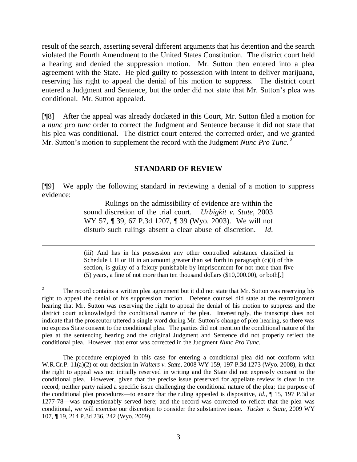result of the search, asserting several different arguments that his detention and the search violated the Fourth Amendment to the United States Constitution. The district court held a hearing and denied the suppression motion. Mr. Sutton then entered into a plea agreement with the State. He pled guilty to possession with intent to deliver marijuana, reserving his right to appeal the denial of his motion to suppress. The district court entered a Judgment and Sentence, but the order did not state that Mr. Sutton's plea was conditional. Mr. Sutton appealed.

[¶8] After the appeal was already docketed in this Court, Mr. Sutton filed a motion for a *nunc pro tunc* order to correct the Judgment and Sentence because it did not state that his plea was conditional. The district court entered the corrected order, and we granted Mr. Sutton's motion to supplement the record with the Judgment *Nunc Pro Tunc*.<sup>2</sup>

### **STANDARD OF REVIEW**

[¶9] We apply the following standard in reviewing a denial of a motion to suppress evidence:

> Rulings on the admissibility of evidence are within the sound discretion of the trial court. *Urbigkit v. State*, 2003 WY 57, ¶ 39, 67 P.3d 1207, ¶ 39 (Wyo. 2003). We will not disturb such rulings absent a clear abuse of discretion. *Id*.

 $\overline{a}$ 

(iii) And has in his possession any other controlled substance classified in Schedule I, II or III in an amount greater than set forth in paragraph (c)(i) of this section, is guilty of a felony punishable by imprisonment for not more than five (5) years, a fine of not more than ten thousand dollars (\$10,000.00), or both[.]

2 The record contains a written plea agreement but it did not state that Mr. Sutton was reserving his right to appeal the denial of his suppression motion. Defense counsel did state at the rearraignment hearing that Mr. Sutton was reserving the right to appeal the denial of his motion to suppress and the district court acknowledged the conditional nature of the plea. Interestingly, the transcript does not indicate that the prosecutor uttered a single word during Mr. Sutton's change of plea hearing, so there was no express State consent to the conditional plea. The parties did not mention the conditional nature of the plea at the sentencing hearing and the original Judgment and Sentence did not properly reflect the conditional plea. However, that error was corrected in the Judgment *Nunc Pro Tunc*.

The procedure employed in this case for entering a conditional plea did not conform with W.R.Cr.P. 11(a)(2) or our decision in *Walters v. State,* 2008 WY 159, 197 P.3d 1273 (Wyo. 2008), in that the right to appeal was not initially reserved in writing and the State did not expressly consent to the conditional plea. However, given that the precise issue preserved for appellate review is clear in the record; neither party raised a specific issue challenging the conditional nature of the plea; the purpose of the conditional plea procedures—to ensure that the ruling appealed is dispositive, *Id.,* ¶ 15, 197 P.3d at 1277-78—was unquestionably served here; and the record was corrected to reflect that the plea was conditional, we will exercise our discretion to consider the substantive issue. *Tucker v. State,* 2009 WY 107, ¶ 19, 214 P.3d 236, 242 (Wyo. 2009).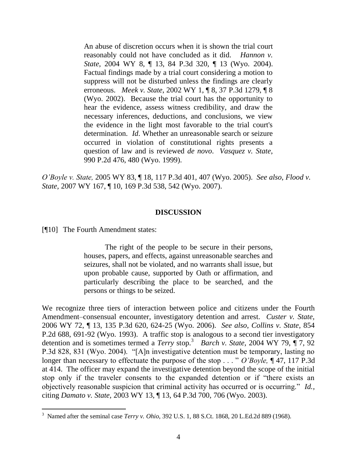An abuse of discretion occurs when it is shown the trial court reasonably could not have concluded as it did. *Hannon v. State*, 2004 WY 8, ¶ 13, 84 P.3d 320, ¶ 13 (Wyo. 2004). Factual findings made by a trial court considering a motion to suppress will not be disturbed unless the findings are clearly erroneous. *Meek v. State*, 2002 WY 1, ¶ 8, 37 P.3d 1279, ¶ 8 (Wyo. 2002). Because the trial court has the opportunity to hear the evidence, assess witness credibility, and draw the necessary inferences, deductions, and conclusions, we view the evidence in the light most favorable to the trial court's determination. *Id*. Whether an unreasonable search or seizure occurred in violation of constitutional rights presents a question of law and is reviewed *de novo*. *Vasquez v. State*, 990 P.2d 476, 480 (Wyo. 1999).

*O'Boyle v. State,* 2005 WY 83, ¶ 18, 117 P.3d 401, 407 (Wyo. 2005). *See also*, *Flood v. State,* 2007 WY 167, ¶ 10, 169 P.3d 538, 542 (Wyo. 2007).

### **DISCUSSION**

[¶10] The Fourth Amendment states:

The right of the people to be secure in their persons, houses, papers, and effects, against unreasonable searches and seizures, shall not be violated, and no warrants shall issue, but upon probable cause, supported by Oath or affirmation, and particularly describing the place to be searched, and the persons or things to be seized.

We recognize three tiers of interaction between police and citizens under the Fourth Amendment–consensual encounter, investigatory detention and arrest. *Custer v. State,*  2006 WY 72, ¶ 13, 135 P.3d 620, 624-25 (Wyo. 2006). *See also*, *Collins v. State*, 854 P.2d 688, 691-92 (Wyo. 1993). A traffic stop is analogous to a second tier investigatory detention and is sometimes termed a *Terry* stop.<sup>3</sup> *Barch v. State,* 2004 WY 79, ¶ 7, 92 P.3d 828, 831 (Wyo. 2004). "[A]n investigative detention must be temporary, lasting no longer than necessary to effectuate the purpose of the stop . . . " *O'Boyle*, **[47, 117 P.3d** at 414. The officer may expand the investigative detention beyond the scope of the initial stop only if the traveler consents to the expanded detention or if "there exists an objectively reasonable suspicion that criminal activity has occurred or is occurring." *Id.*, citing *Damato v. State,* 2003 WY 13, ¶ 13, 64 P.3d 700, 706 (Wyo. 2003).

 3 Named after the seminal case *Terry v. Ohio*, 392 U.S. 1, 88 S.Ct. 1868, 20 L.Ed.2d 889 (1968).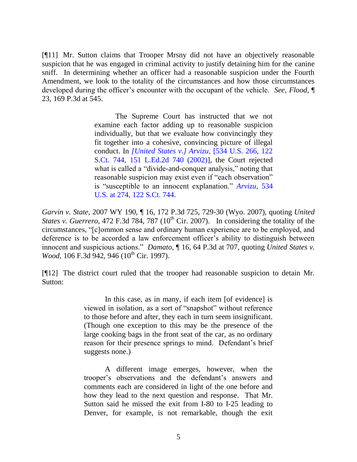[¶11] Mr. Sutton claims that Trooper Mrsny did not have an objectively reasonable suspicion that he was engaged in criminal activity to justify detaining him for the canine sniff. In determining whether an officer had a reasonable suspicion under the Fourth Amendment, we look to the totality of the circumstances and how those circumstances developed during the officer's encounter with the occupant of the vehicle. *See*, *Flood,* ¶ 23, 169 P.3d at 545.

> The Supreme Court has instructed that we not examine each factor adding up to reasonable suspicion individually, but that we evaluate how convincingly they fit together into a cohesive, convincing picture of illegal conduct. In *[\[United States v.\] Arvizu,](http://www.westlaw.com/Find/Default.wl?rs=dfa1.0&vr=2.0&DB=708&FindType=Y&SerialNum=2002067068)* [\[534 U.S. 266, 122](http://www.westlaw.com/Find/Default.wl?rs=dfa1.0&vr=2.0&DB=708&FindType=Y&SerialNum=2002067068)  S.Ct. 744, 151 L.Ed.2d 740 (2002)], the Court rejected what is called a "divide-and-conquer analysis," noting that reasonable suspicion may exist even if "each observation" is "susceptible to an innocent explanation." *Arvizu*, 534 U.S. at 274, 122 S.Ct. 744.

*Garvin v. State,* 2007 WY 190, ¶ 16, 172 P.3d 725, 729-30 (Wyo. 2007), quoting *United States v. Guerrero, 472 F.3d 784, 787* (10<sup>th</sup> Cir. 2007). In considering the totality of the circumstances, ―[c]ommon sense and ordinary human experience are to be employed, and deference is to be accorded a law enforcement officer's ability to distinguish between innocent and suspicious actions." *Damato*,  $\P$  16, 64 P.3d at 707, quoting *United States v. Wood, 106 F.3d 942, 946 (10<sup>th</sup> Cir. 1997).* 

[¶12] The district court ruled that the trooper had reasonable suspicion to detain Mr. Sutton:

> In this case, as in many, if each item [of evidence] is viewed in isolation, as a sort of "snapshot" without reference to those before and after, they each in turn seem insignificant. (Though one exception to this may be the presence of the large cooking bags in the front seat of the car, as no ordinary reason for their presence springs to mind. Defendant's brief suggests none.)

> A different image emerges, however, when the trooper's observations and the defendant's answers and comments each are considered in light of the one before and how they lead to the next question and response. That Mr. Sutton said he missed the exit from I-80 to I-25 leading to Denver, for example, is not remarkable, though the exit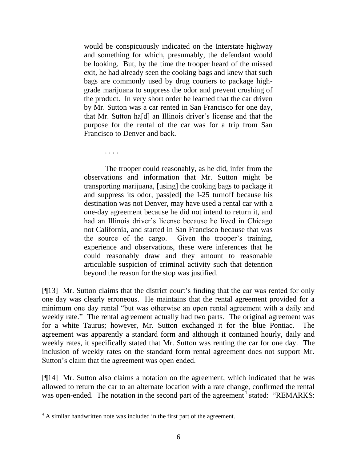would be conspicuously indicated on the Interstate highway and something for which, presumably, the defendant would be looking. But, by the time the trooper heard of the missed exit, he had already seen the cooking bags and knew that such bags are commonly used by drug couriers to package highgrade marijuana to suppress the odor and prevent crushing of the product. In very short order he learned that the car driven by Mr. Sutton was a car rented in San Francisco for one day, that Mr. Sutton ha[d] an Illinois driver's license and that the purpose for the rental of the car was for a trip from San Francisco to Denver and back.

. . . .

The trooper could reasonably, as he did, infer from the observations and information that Mr. Sutton might be transporting marijuana, [using] the cooking bags to package it and suppress its odor, pass[ed] the I-25 turnoff because his destination was not Denver, may have used a rental car with a one-day agreement because he did not intend to return it, and had an Illinois driver's license because he lived in Chicago not California, and started in San Francisco because that was the source of the cargo. Given the trooper's training, experience and observations, these were inferences that he could reasonably draw and they amount to reasonable articulable suspicion of criminal activity such that detention beyond the reason for the stop was justified.

[¶13] Mr. Sutton claims that the district court's finding that the car was rented for only one day was clearly erroneous. He maintains that the rental agreement provided for a minimum one day rental "but was otherwise an open rental agreement with a daily and weekly rate." The rental agreement actually had two parts. The original agreement was for a white Taurus; however, Mr. Sutton exchanged it for the blue Pontiac. The agreement was apparently a standard form and although it contained hourly, daily and weekly rates, it specifically stated that Mr. Sutton was renting the car for one day. The inclusion of weekly rates on the standard form rental agreement does not support Mr. Sutton's claim that the agreement was open ended.

[¶14] Mr. Sutton also claims a notation on the agreement, which indicated that he was allowed to return the car to an alternate location with a rate change, confirmed the rental was open-ended. The notation in the second part of the agreement<sup>4</sup> stated: "REMARKS:

 $\overline{a}$ <sup>4</sup> A similar handwritten note was included in the first part of the agreement.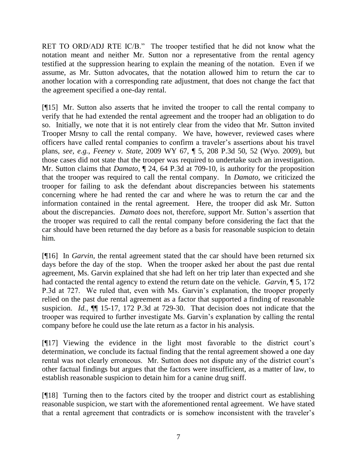RET TO ORD/ADJ RTE IC/B." The trooper testified that he did not know what the notation meant and neither Mr. Sutton nor a representative from the rental agency testified at the suppression hearing to explain the meaning of the notation. Even if we assume, as Mr. Sutton advocates, that the notation allowed him to return the car to another location with a corresponding rate adjustment, that does not change the fact that the agreement specified a one-day rental.

[¶15] Mr. Sutton also asserts that he invited the trooper to call the rental company to verify that he had extended the rental agreement and the trooper had an obligation to do so. Initially, we note that it is not entirely clear from the video that Mr. Sutton invited Trooper Mrsny to call the rental company. We have, however, reviewed cases where officers have called rental companies to confirm a traveler's assertions about his travel plans, *see, e.g.*, *Feeney v. State,* 2009 WY 67, ¶ 5, 208 P.3d 50, 52 (Wyo. 2009), but those cases did not state that the trooper was required to undertake such an investigation. Mr. Sutton claims that *Damato*,  $\P$  24, 64 P.3d at 709-10, is authority for the proposition that the trooper was required to call the rental company. In *Damato,* we criticized the trooper for failing to ask the defendant about discrepancies between his statements concerning where he had rented the car and where he was to return the car and the information contained in the rental agreement. Here, the trooper did ask Mr. Sutton about the discrepancies. *Damato* does not, therefore, support Mr. Sutton's assertion that the trooper was required to call the rental company before considering the fact that the car should have been returned the day before as a basis for reasonable suspicion to detain him.

[¶16] In *Garvin,* the rental agreement stated that the car should have been returned six days before the day of the stop. When the trooper asked her about the past due rental agreement, Ms. Garvin explained that she had left on her trip later than expected and she had contacted the rental agency to extend the return date on the vehicle. *Garvin,* ¶ 5, 172 P.3d at 727. We ruled that, even with Ms. Garvin's explanation, the trooper properly relied on the past due rental agreement as a factor that supported a finding of reasonable suspicion. *Id.*, ¶¶ 15-17, 172 P.3d at 729-30. That decision does not indicate that the trooper was required to further investigate Ms. Garvin's explanation by calling the rental company before he could use the late return as a factor in his analysis.

[¶17] Viewing the evidence in the light most favorable to the district court's determination, we conclude its factual finding that the rental agreement showed a one day rental was not clearly erroneous. Mr. Sutton does not dispute any of the district court's other factual findings but argues that the factors were insufficient, as a matter of law, to establish reasonable suspicion to detain him for a canine drug sniff.

[¶18] Turning then to the factors cited by the trooper and district court as establishing reasonable suspicion, we start with the aforementioned rental agreement. We have stated that a rental agreement that contradicts or is somehow inconsistent with the traveler's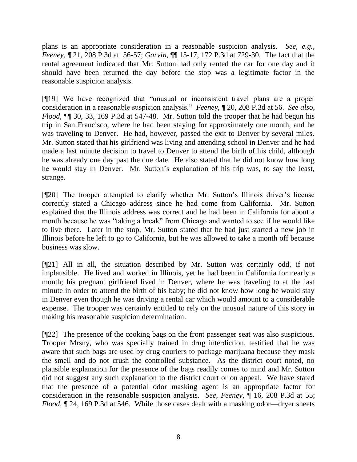plans is an appropriate consideration in a reasonable suspicion analysis. *See, e.g.*, *Feeney,* ¶ 21, 208 P.3d at 56-57; *Garvin,* ¶¶ 15-17, 172 P.3d at 729-30. The fact that the rental agreement indicated that Mr. Sutton had only rented the car for one day and it should have been returned the day before the stop was a legitimate factor in the reasonable suspicion analysis.

[¶19] We have recognized that "unusual or inconsistent travel plans are a proper consideration in a reasonable suspicion analysis.‖ *Feeney*, ¶ 20, 208 P.3d at 56. *See also*, *Flood,* ¶¶ 30, 33, 169 P.3d at 547-48. Mr. Sutton told the trooper that he had begun his trip in San Francisco, where he had been staying for approximately one month, and he was traveling to Denver. He had, however, passed the exit to Denver by several miles. Mr. Sutton stated that his girlfriend was living and attending school in Denver and he had made a last minute decision to travel to Denver to attend the birth of his child, although he was already one day past the due date. He also stated that he did not know how long he would stay in Denver. Mr. Sutton's explanation of his trip was, to say the least, strange.

[¶20] The trooper attempted to clarify whether Mr. Sutton's Illinois driver's license correctly stated a Chicago address since he had come from California. Mr. Sutton explained that the Illinois address was correct and he had been in California for about a month because he was "taking a break" from Chicago and wanted to see if he would like to live there. Later in the stop, Mr. Sutton stated that he had just started a new job in Illinois before he left to go to California, but he was allowed to take a month off because business was slow.

[¶21] All in all, the situation described by Mr. Sutton was certainly odd, if not implausible. He lived and worked in Illinois, yet he had been in California for nearly a month; his pregnant girlfriend lived in Denver, where he was traveling to at the last minute in order to attend the birth of his baby; he did not know how long he would stay in Denver even though he was driving a rental car which would amount to a considerable expense. The trooper was certainly entitled to rely on the unusual nature of this story in making his reasonable suspicion determination.

[¶22] The presence of the cooking bags on the front passenger seat was also suspicious. Trooper Mrsny, who was specially trained in drug interdiction, testified that he was aware that such bags are used by drug couriers to package marijuana because they mask the smell and do not crush the controlled substance. As the district court noted, no plausible explanation for the presence of the bags readily comes to mind and Mr. Sutton did not suggest any such explanation to the district court or on appeal. We have stated that the presence of a potential odor masking agent is an appropriate factor for consideration in the reasonable suspicion analysis. *See*, *Feeney,* ¶ 16, 208 P.3d at 55; *Flood*,  $\P$  24, 169 P.3d at 546. While those cases dealt with a masking odor—dryer sheets